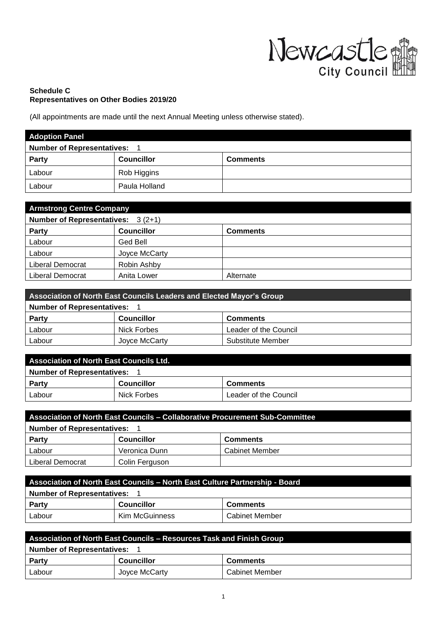

## **Schedule C Representatives on Other Bodies 2019/20**

(All appointments are made until the next Annual Meeting unless otherwise stated).

| <b>Adoption Panel</b>             |                   |                 |
|-----------------------------------|-------------------|-----------------|
| <b>Number of Representatives:</b> |                   |                 |
| <b>Party</b>                      | <b>Councillor</b> | <b>Comments</b> |
| Labour                            | Rob Higgins       |                 |
| Labour                            | Paula Holland     |                 |

| <b>Armstrong Centre Company</b>     |                   |                 |  |
|-------------------------------------|-------------------|-----------------|--|
| Number of Representatives: $3(2+1)$ |                   |                 |  |
| Party                               | <b>Councillor</b> | <b>Comments</b> |  |
| Labour                              | Ged Bell          |                 |  |
| Labour                              | Joyce McCarty     |                 |  |
| Liberal Democrat                    | Robin Ashby       |                 |  |
| Liberal Democrat                    | Anita Lower       | Alternate       |  |

| Association of North East Councils Leaders and Elected Mayor's Group |                   |                       |  |
|----------------------------------------------------------------------|-------------------|-----------------------|--|
| <b>Number of Representatives:</b>                                    |                   |                       |  |
| Party                                                                | <b>Councillor</b> | <b>Comments</b>       |  |
| Labour                                                               | Nick Forbes       | Leader of the Council |  |
| Labour                                                               | Joyce McCarty     | Substitute Member     |  |

| <b>Association of North East Councils Ltd.</b> |                   |                       |  |
|------------------------------------------------|-------------------|-----------------------|--|
| <b>Number of Representatives:</b>              |                   |                       |  |
| Party                                          | <b>Councillor</b> | <b>Comments</b>       |  |
| Labour                                         | Nick Forbes       | Leader of the Council |  |

| Association of North East Councils – Collaborative Procurement Sub-Committee |                   |                       |
|------------------------------------------------------------------------------|-------------------|-----------------------|
| <b>Number of Representatives:</b>                                            |                   |                       |
| <b>Party</b>                                                                 | <b>Councillor</b> | <b>Comments</b>       |
| Labour                                                                       | Veronica Dunn     | <b>Cabinet Member</b> |
| Liberal Democrat                                                             | Colin Ferguson    |                       |

| Association of North East Councils - North East Culture Partnership - Board |                   |                 |
|-----------------------------------------------------------------------------|-------------------|-----------------|
| <b>Number of Representatives:</b>                                           |                   |                 |
| Party                                                                       | <b>Councillor</b> | <b>Comments</b> |
| Labour                                                                      | Kim McGuinness    | Cabinet Member  |

| Association of North East Councils - Resources Task and Finish Group |                   |                 |  |
|----------------------------------------------------------------------|-------------------|-----------------|--|
| <b>Number of Representatives:</b>                                    |                   |                 |  |
| Party                                                                | <b>Councillor</b> | <b>Comments</b> |  |
| Labour                                                               | Joyce McCarty     | Cabinet Member  |  |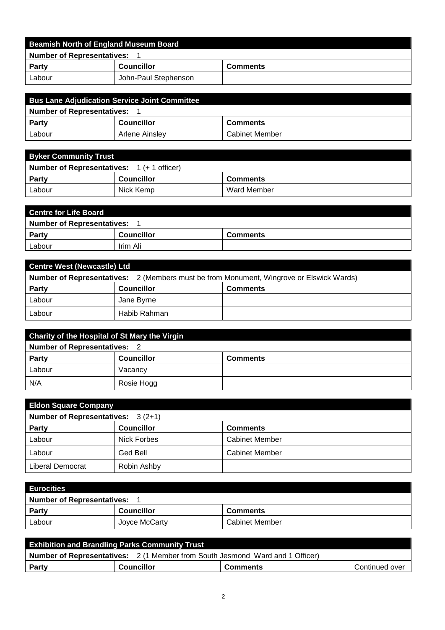| Beamish North of England Museum Board |                      |                 |  |
|---------------------------------------|----------------------|-----------------|--|
| <b>Number of Representatives:</b>     |                      |                 |  |
| <b>Party</b>                          | <b>Councillor</b>    | <b>Comments</b> |  |
| Labour                                | John-Paul Stephenson |                 |  |

| <b>Bus Lane Adjudication Service Joint Committee</b> |                   |                       |  |
|------------------------------------------------------|-------------------|-----------------------|--|
| Number of Representatives:                           |                   |                       |  |
| Party                                                | <b>Councillor</b> | <b>Comments</b>       |  |
| Labour                                               | Arlene Ainsley    | <b>Cabinet Member</b> |  |

| <b>Byker Community Trust</b>                                |                   |                 |  |
|-------------------------------------------------------------|-------------------|-----------------|--|
| <b>Number of Representatives:</b> $1 (+ 1 \text{ officer})$ |                   |                 |  |
| <b>Party</b>                                                | <b>Councillor</b> | <b>Comments</b> |  |
| Labour                                                      | Nick Kemp         | Ward Member     |  |

| <b>Centre for Life Board</b>      |                   |                 |  |
|-----------------------------------|-------------------|-----------------|--|
| <b>Number of Representatives:</b> |                   |                 |  |
| <b>Party</b>                      | <b>Councillor</b> | <b>Comments</b> |  |
| Labour                            | Irim Ali          |                 |  |

| <b>Centre West (Newcastle) Ltd</b>                                                             |                   |                 |  |
|------------------------------------------------------------------------------------------------|-------------------|-----------------|--|
| <b>Number of Representatives:</b> 2 (Members must be from Monument, Wingrove or Elswick Wards) |                   |                 |  |
| <b>Party</b>                                                                                   | <b>Councillor</b> | <b>Comments</b> |  |
| Labour                                                                                         | Jane Byrne        |                 |  |
| Labour                                                                                         | Habib Rahman      |                 |  |

| <b>Charity of the Hospital of St Mary the Virgin</b> |                   |                 |
|------------------------------------------------------|-------------------|-----------------|
| <b>Number of Representatives: 2</b>                  |                   |                 |
| <b>Party</b>                                         | <b>Councillor</b> | <b>Comments</b> |
| Labour                                               | Vacancy           |                 |
| N/A                                                  | Rosie Hogg        |                 |

| <b>Eldon Square Company</b>         |                   |                       |  |
|-------------------------------------|-------------------|-----------------------|--|
| Number of Representatives: $3(2+1)$ |                   |                       |  |
| <b>Party</b>                        | <b>Councillor</b> | <b>Comments</b>       |  |
| Labour                              | Nick Forbes       | <b>Cabinet Member</b> |  |
| Labour                              | Ged Bell          | <b>Cabinet Member</b> |  |
| Liberal Democrat                    | Robin Ashby       |                       |  |

| <b>Eurocities</b>                 |                   |                       |  |
|-----------------------------------|-------------------|-----------------------|--|
| <b>Number of Representatives:</b> |                   |                       |  |
| <b>Party</b>                      | <b>Councillor</b> | <b>Comments</b>       |  |
| Labour                            | Joyce McCarty     | <b>Cabinet Member</b> |  |

| <b>Exhibition and Brandling Parks Community Trust</b>                                |  |  |                |
|--------------------------------------------------------------------------------------|--|--|----------------|
| <b>Number of Representatives:</b> 2 (1 Member from South Jesmond Ward and 1 Officer) |  |  |                |
| <b>Councillor</b><br>Party<br><b>Comments</b>                                        |  |  | Continued over |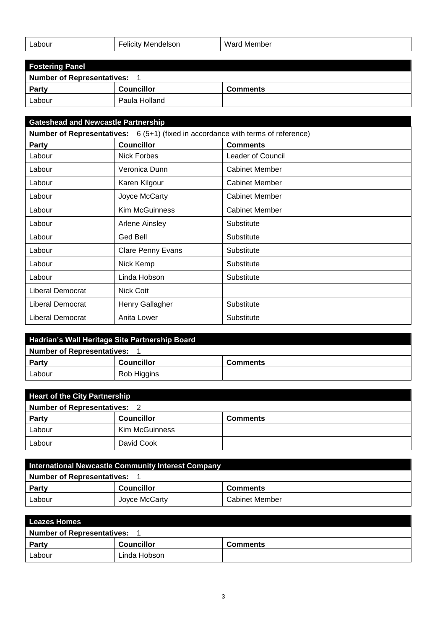| ∟abour<br>. | ∙elıcıtv<br>' Mendelson<br>_____ | Ward<br>. Member |
|-------------|----------------------------------|------------------|
|             |                                  |                  |

| <b>Fostering Panel</b>            |                   |                 |  |
|-----------------------------------|-------------------|-----------------|--|
| <b>Number of Representatives:</b> |                   |                 |  |
| <b>Party</b>                      | <b>Councillor</b> | <b>Comments</b> |  |
| Labour                            | Paula Holland     |                 |  |

| <b>Gateshead and Newcastle Partnership</b>                                              |                          |                          |
|-----------------------------------------------------------------------------------------|--------------------------|--------------------------|
| <b>Number of Representatives:</b> 6 (5+1) (fixed in accordance with terms of reference) |                          |                          |
| Party                                                                                   | <b>Councillor</b>        | <b>Comments</b>          |
| Labour                                                                                  | Nick Forbes              | <b>Leader of Council</b> |
| Labour                                                                                  | Veronica Dunn            | <b>Cabinet Member</b>    |
| Labour                                                                                  | Karen Kilgour            | <b>Cabinet Member</b>    |
| Labour                                                                                  | Joyce McCarty            | <b>Cabinet Member</b>    |
| Labour                                                                                  | <b>Kim McGuinness</b>    | <b>Cabinet Member</b>    |
| Labour                                                                                  | Arlene Ainsley           | Substitute               |
| Labour                                                                                  | Ged Bell                 | Substitute               |
| Labour                                                                                  | <b>Clare Penny Evans</b> | Substitute               |
| Labour                                                                                  | Nick Kemp                | Substitute               |
| Labour                                                                                  | Linda Hobson             | Substitute               |
| Liberal Democrat                                                                        | Nick Cott                |                          |
| Liberal Democrat                                                                        | Henry Gallagher          | Substitute               |
| Liberal Democrat                                                                        | Anita Lower              | Substitute               |

| Hadrian's Wall Heritage Site Partnership Board |                   |                 |  |
|------------------------------------------------|-------------------|-----------------|--|
| <b>Number of Representatives:</b>              |                   |                 |  |
| <b>Party</b>                                   | <b>Councillor</b> | <b>Comments</b> |  |
| Labour                                         | Rob Higgins       |                 |  |

| <b>Heart of the City Partnership</b> |                   |                 |  |
|--------------------------------------|-------------------|-----------------|--|
| <b>Number of Representatives: 2</b>  |                   |                 |  |
| <b>Party</b>                         | <b>Councillor</b> | <b>Comments</b> |  |
| Labour                               | Kim McGuinness    |                 |  |
| Labour                               | David Cook        |                 |  |

| International Newcastle Community Interest Company |                   |                       |
|----------------------------------------------------|-------------------|-----------------------|
| <b>Number of Representatives:</b>                  |                   |                       |
| <b>Party</b>                                       | <b>Councillor</b> | <b>Comments</b>       |
| Labour                                             | Joyce McCarty     | <b>Cabinet Member</b> |

| <b>Leazes Homes</b>               |                   |                 |  |
|-----------------------------------|-------------------|-----------------|--|
| <b>Number of Representatives:</b> |                   |                 |  |
| Party                             | <b>Councillor</b> | <b>Comments</b> |  |
| Labour                            | Linda Hobson      |                 |  |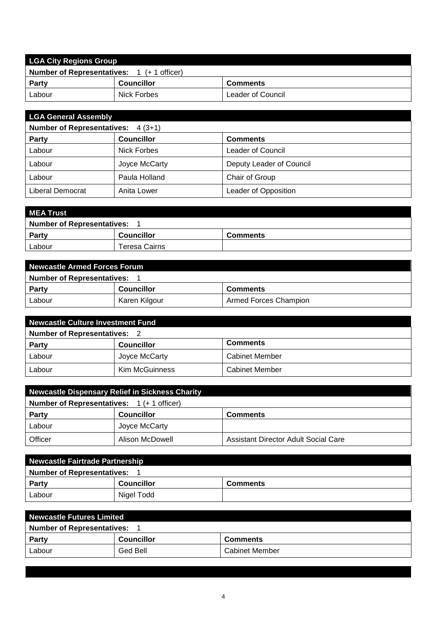| <b>LGA City Regions Group</b>                        |                   |                   |  |
|------------------------------------------------------|-------------------|-------------------|--|
| <b>Number of Representatives:</b><br>1 (+ 1 officer) |                   |                   |  |
| <b>Party</b>                                         | <b>Councillor</b> | <b>Comments</b>   |  |
| Labour                                               | Nick Forbes       | Leader of Council |  |

| <b>LGA General Assembly</b>               |                   |                          |  |
|-------------------------------------------|-------------------|--------------------------|--|
| <b>Number of Representatives:</b> 4 (3+1) |                   |                          |  |
| <b>Party</b>                              | <b>Councillor</b> | <b>Comments</b>          |  |
| Labour                                    | Nick Forbes       | Leader of Council        |  |
| Labour                                    | Joyce McCarty     | Deputy Leader of Council |  |
| Labour                                    | Paula Holland     | Chair of Group           |  |
| <b>Liberal Democrat</b>                   | Anita Lower       | Leader of Opposition     |  |

| <b>MEA Trust</b>                  |                   |                 |  |
|-----------------------------------|-------------------|-----------------|--|
| <b>Number of Representatives:</b> |                   |                 |  |
| <b>Party</b>                      | <b>Councillor</b> | <b>Comments</b> |  |
| Labour                            | Teresa Cairns     |                 |  |

| Newcastle Armed Forces Forum      |                   |                       |  |
|-----------------------------------|-------------------|-----------------------|--|
| <b>Number of Representatives:</b> |                   |                       |  |
| <b>Party</b>                      | <b>Councillor</b> | <b>Comments</b>       |  |
| Labour                            | Karen Kilgour     | Armed Forces Champion |  |

| <b>Newcastle Culture Investment Fund</b> |                                      |                       |
|------------------------------------------|--------------------------------------|-----------------------|
| <b>Number of Representatives: 2</b>      |                                      |                       |
| Party                                    | <b>Comments</b><br><b>Councillor</b> |                       |
| Labour                                   | Joyce McCarty                        | <b>Cabinet Member</b> |
| Labour                                   | Kim McGuinness                       | <b>Cabinet Member</b> |

| <b>Newcastle Dispensary Relief in Sickness Charity</b> |                   |                                      |  |
|--------------------------------------------------------|-------------------|--------------------------------------|--|
| <b>Number of Representatives:</b> 1 (+ 1 officer)      |                   |                                      |  |
| Party                                                  | <b>Councillor</b> | <b>Comments</b>                      |  |
| Labour                                                 | Joyce McCarty     |                                      |  |
| Officer                                                | Alison McDowell   | Assistant Director Adult Social Care |  |

| Newcastle Fairtrade Partnership   |                   |                 |  |
|-----------------------------------|-------------------|-----------------|--|
| <b>Number of Representatives:</b> |                   |                 |  |
| <b>Party</b>                      | <b>Councillor</b> | <b>Comments</b> |  |
| Labour                            | Nigel Todd        |                 |  |

| <b>Newcastle Futures Limited</b>  |                   |                 |  |
|-----------------------------------|-------------------|-----------------|--|
| <b>Number of Representatives:</b> |                   |                 |  |
| <b>Party</b>                      | <b>Councillor</b> | <b>Comments</b> |  |
| Labour                            | Ged Bell          | Cabinet Member  |  |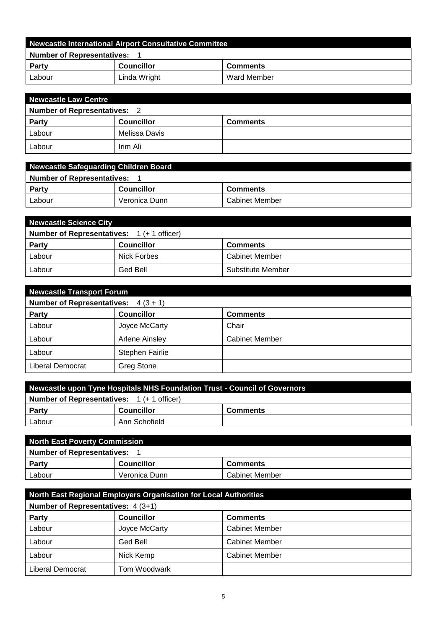| Newcastle International Airport Consultative Committee |                   |                 |  |
|--------------------------------------------------------|-------------------|-----------------|--|
| <b>Number of Representatives:</b>                      |                   |                 |  |
| <b>Party</b>                                           | <b>Councillor</b> | <b>Comments</b> |  |
| Labour                                                 | Linda Wright      | Ward Member     |  |

| Newcastle Law Centre                |                   |                 |  |
|-------------------------------------|-------------------|-----------------|--|
| <b>Number of Representatives: 2</b> |                   |                 |  |
| <b>Party</b>                        | <b>Councillor</b> | <b>Comments</b> |  |
| Labour                              | Melissa Davis     |                 |  |
| Labour                              | Irim Ali          |                 |  |

| Newcastle Safeguarding Children Board |                   |                       |  |
|---------------------------------------|-------------------|-----------------------|--|
| <b>Number of Representatives:</b>     |                   |                       |  |
| Party                                 | <b>Councillor</b> | <b>Comments</b>       |  |
| Labour                                | Veronica Dunn     | <b>Cabinet Member</b> |  |

| <b>Newcastle Science City</b>                     |                   |                       |  |
|---------------------------------------------------|-------------------|-----------------------|--|
| <b>Number of Representatives:</b> 1 (+ 1 officer) |                   |                       |  |
| <b>Party</b>                                      | <b>Councillor</b> | <b>Comments</b>       |  |
| Labour                                            | Nick Forbes       | <b>Cabinet Member</b> |  |
| Labour                                            | Ged Bell          | Substitute Member     |  |

| <b>Newcastle Transport Forum</b>      |                        |                       |  |
|---------------------------------------|------------------------|-----------------------|--|
| Number of Representatives: $4(3 + 1)$ |                        |                       |  |
| <b>Party</b>                          | <b>Councillor</b>      | <b>Comments</b>       |  |
| Labour                                | Joyce McCarty          | Chair                 |  |
| Labour                                | Arlene Ainsley         | <b>Cabinet Member</b> |  |
| Labour                                | <b>Stephen Fairlie</b> |                       |  |
| Liberal Democrat                      | <b>Greg Stone</b>      |                       |  |

| Newcastle upon Tyne Hospitals NHS Foundation Trust - Council of Governors |                   |                 |  |
|---------------------------------------------------------------------------|-------------------|-----------------|--|
| <b>Number of Representatives:</b> 1 (+ 1 officer)                         |                   |                 |  |
| <b>Party</b>                                                              | <b>Councillor</b> | <b>Comments</b> |  |
| Labour                                                                    | Ann Schofield     |                 |  |

| North East Poverty Commission     |                   |                 |  |
|-----------------------------------|-------------------|-----------------|--|
| <b>Number of Representatives:</b> |                   |                 |  |
| Party                             | <b>Councillor</b> | <b>Comments</b> |  |
| Labour                            | Veronica Dunn     | Cabinet Member  |  |

| North East Regional Employers Organisation for Local Authorities |               |                       |  |
|------------------------------------------------------------------|---------------|-----------------------|--|
| Number of Representatives: 4 (3+1)                               |               |                       |  |
| Party<br><b>Councillor</b><br><b>Comments</b>                    |               |                       |  |
| Labour                                                           | Joyce McCarty | <b>Cabinet Member</b> |  |
| Labour                                                           | Ged Bell      | <b>Cabinet Member</b> |  |
| Labour                                                           | Nick Kemp     | <b>Cabinet Member</b> |  |
| Liberal Democrat                                                 | Tom Woodwark  |                       |  |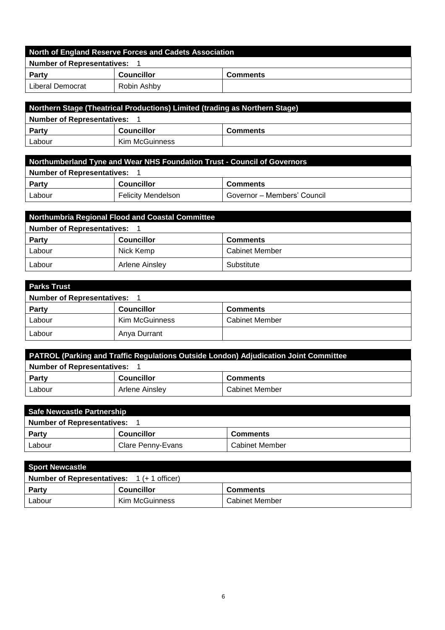| North of England Reserve Forces and Cadets Association |                   |                 |  |
|--------------------------------------------------------|-------------------|-----------------|--|
| <b>Number of Representatives:</b>                      |                   |                 |  |
| Party                                                  | <b>Councillor</b> | <b>Comments</b> |  |
| Liberal Democrat                                       | Robin Ashby       |                 |  |

| Northern Stage (Theatrical Productions) Limited (trading as Northern Stage) |                   |                 |  |
|-----------------------------------------------------------------------------|-------------------|-----------------|--|
| <b>Number of Representatives:</b>                                           |                   |                 |  |
| Party                                                                       | <b>Councillor</b> | <b>Comments</b> |  |
| Labour                                                                      | Kim McGuinness    |                 |  |

| Northumberland Tyne and Wear NHS Foundation Trust - Council of Governors |                           |                             |  |
|--------------------------------------------------------------------------|---------------------------|-----------------------------|--|
| <b>Number of Representatives:</b>                                        |                           |                             |  |
| Party                                                                    | <b>Councillor</b>         | <b>Comments</b>             |  |
| Labour                                                                   | <b>Felicity Mendelson</b> | Governor – Members' Council |  |

| <b>Northumbria Regional Flood and Coastal Committee</b> |                   |                       |  |
|---------------------------------------------------------|-------------------|-----------------------|--|
| <b>Number of Representatives:</b>                       |                   |                       |  |
| <b>Party</b>                                            | <b>Councillor</b> | <b>Comments</b>       |  |
| Labour                                                  | Nick Kemp         | <b>Cabinet Member</b> |  |
| Labour                                                  | Arlene Ainsley    | Substitute            |  |

| <b>Parks Trust</b>                |                       |                       |  |
|-----------------------------------|-----------------------|-----------------------|--|
| <b>Number of Representatives:</b> |                       |                       |  |
| <b>Party</b>                      | <b>Councillor</b>     | <b>Comments</b>       |  |
| Labour                            | <b>Kim McGuinness</b> | <b>Cabinet Member</b> |  |
| Labour                            | Anya Durrant          |                       |  |

| <b>PATROL (Parking and Traffic Regulations Outside London) Adjudication Joint Committee</b> |                   |                       |  |
|---------------------------------------------------------------------------------------------|-------------------|-----------------------|--|
| <b>Number of Representatives:</b>                                                           |                   |                       |  |
| Party                                                                                       | <b>Councillor</b> | <b>Comments</b>       |  |
| Labour                                                                                      | Arlene Ainsley    | <b>Cabinet Member</b> |  |

| Safe Newcastle Partnership        |                   |                 |  |
|-----------------------------------|-------------------|-----------------|--|
| <b>Number of Representatives:</b> |                   |                 |  |
| Party                             | <b>Councillor</b> | <b>Comments</b> |  |
| Labour                            | Clare Penny-Evans | Cabinet Member  |  |

| <b>Sport Newcastle</b>                                      |                   |                       |  |
|-------------------------------------------------------------|-------------------|-----------------------|--|
| <b>Number of Representatives:</b> $1 (+ 1 \text{ officer})$ |                   |                       |  |
| Party                                                       | <b>Councillor</b> | <b>Comments</b>       |  |
| Labour                                                      | Kim McGuinness    | <b>Cabinet Member</b> |  |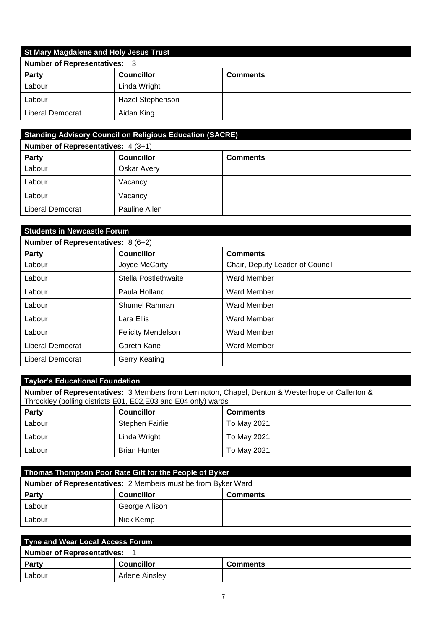| <b>St Mary Magdalene and Holy Jesus Trust</b> |                   |                 |  |
|-----------------------------------------------|-------------------|-----------------|--|
| <b>Number of Representatives: 3</b>           |                   |                 |  |
| <b>Party</b>                                  | <b>Councillor</b> | <b>Comments</b> |  |
| Labour                                        | Linda Wright      |                 |  |
| Labour                                        | Hazel Stephenson  |                 |  |
| Liberal Democrat                              | Aidan King        |                 |  |

| <b>Standing Advisory Council on Religious Education (SACRE)</b> |                   |                 |
|-----------------------------------------------------------------|-------------------|-----------------|
| <b>Number of Representatives: 4 (3+1)</b>                       |                   |                 |
| Party                                                           | <b>Councillor</b> | <b>Comments</b> |
| Labour                                                          | Oskar Avery       |                 |
| Labour                                                          | Vacancy           |                 |
| Labour                                                          | Vacancy           |                 |
| Liberal Democrat                                                | Pauline Allen     |                 |

## **Students in Newcastle Forum**

| Number of Representatives: 8 (6+2) |                           |                                 |
|------------------------------------|---------------------------|---------------------------------|
| <b>Party</b>                       | <b>Councillor</b>         | <b>Comments</b>                 |
| Labour                             | Joyce McCarty             | Chair, Deputy Leader of Council |
| Labour                             | Stella Postlethwaite      | <b>Ward Member</b>              |
| Labour                             | Paula Holland             | <b>Ward Member</b>              |
| Labour                             | Shumel Rahman             | <b>Ward Member</b>              |
| Labour                             | Lara Ellis                | <b>Ward Member</b>              |
| Labour                             | <b>Felicity Mendelson</b> | <b>Ward Member</b>              |
| Liberal Democrat                   | Gareth Kane               | <b>Ward Member</b>              |
| Liberal Democrat                   | Gerry Keating             |                                 |

## **Taylor's Educational Foundation**

**Number of Representatives:** 3 Members from Lemington, Chapel, Denton & Westerhope or Callerton & Throckley (polling districts E01, E02,E03 and E04 only) wards

| Party  | <b>Councillor</b>   | <b>Comments</b> |
|--------|---------------------|-----------------|
| Labour | Stephen Fairlie     | To May 2021     |
| Labour | Linda Wright        | To May 2021     |
| Labour | <b>Brian Hunter</b> | To May 2021     |

| Thomas Thompson Poor Rate Gift for the People of Byker              |                   |                 |
|---------------------------------------------------------------------|-------------------|-----------------|
| <b>Number of Representatives:</b> 2 Members must be from Byker Ward |                   |                 |
| <b>Party</b>                                                        | <b>Councillor</b> | <b>Comments</b> |
| Labour                                                              | George Allison    |                 |
| Labour                                                              | Nick Kemp         |                 |

| Tyne and Wear Local Access Forum  |                   |                 |
|-----------------------------------|-------------------|-----------------|
| <b>Number of Representatives:</b> |                   |                 |
| Party                             | <b>Councillor</b> | <b>Comments</b> |
| Labour                            | Arlene Ainsley    |                 |